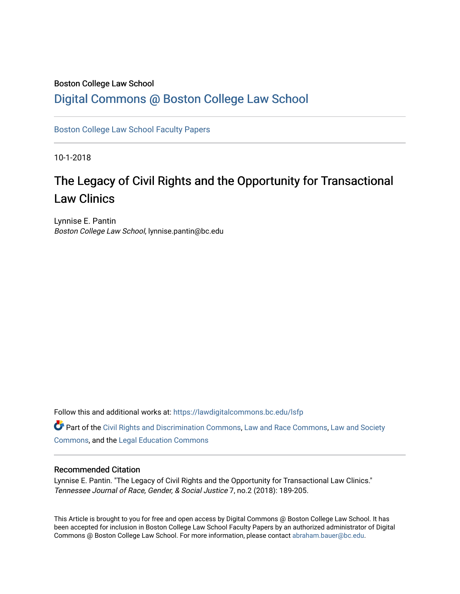### Boston College Law School

## [Digital Commons @ Boston College Law School](https://lawdigitalcommons.bc.edu/)

[Boston College Law School Faculty Papers](https://lawdigitalcommons.bc.edu/lsfp) 

10-1-2018

# The Legacy of Civil Rights and the Opportunity for Transactional Law Clinics

Lynnise E. Pantin Boston College Law School, lynnise.pantin@bc.edu

Follow this and additional works at: [https://lawdigitalcommons.bc.edu/lsfp](https://lawdigitalcommons.bc.edu/lsfp?utm_source=lawdigitalcommons.bc.edu%2Flsfp%2F1217&utm_medium=PDF&utm_campaign=PDFCoverPages) 

Part of the [Civil Rights and Discrimination Commons,](http://network.bepress.com/hgg/discipline/585?utm_source=lawdigitalcommons.bc.edu%2Flsfp%2F1217&utm_medium=PDF&utm_campaign=PDFCoverPages) [Law and Race Commons,](http://network.bepress.com/hgg/discipline/1300?utm_source=lawdigitalcommons.bc.edu%2Flsfp%2F1217&utm_medium=PDF&utm_campaign=PDFCoverPages) [Law and Society](http://network.bepress.com/hgg/discipline/853?utm_source=lawdigitalcommons.bc.edu%2Flsfp%2F1217&utm_medium=PDF&utm_campaign=PDFCoverPages)  [Commons](http://network.bepress.com/hgg/discipline/853?utm_source=lawdigitalcommons.bc.edu%2Flsfp%2F1217&utm_medium=PDF&utm_campaign=PDFCoverPages), and the [Legal Education Commons](http://network.bepress.com/hgg/discipline/857?utm_source=lawdigitalcommons.bc.edu%2Flsfp%2F1217&utm_medium=PDF&utm_campaign=PDFCoverPages) 

#### Recommended Citation

Lynnise E. Pantin. "The Legacy of Civil Rights and the Opportunity for Transactional Law Clinics." Tennessee Journal of Race, Gender, & Social Justice 7, no.2 (2018): 189-205.

This Article is brought to you for free and open access by Digital Commons @ Boston College Law School. It has been accepted for inclusion in Boston College Law School Faculty Papers by an authorized administrator of Digital Commons @ Boston College Law School. For more information, please contact [abraham.bauer@bc.edu.](mailto:abraham.bauer@bc.edu)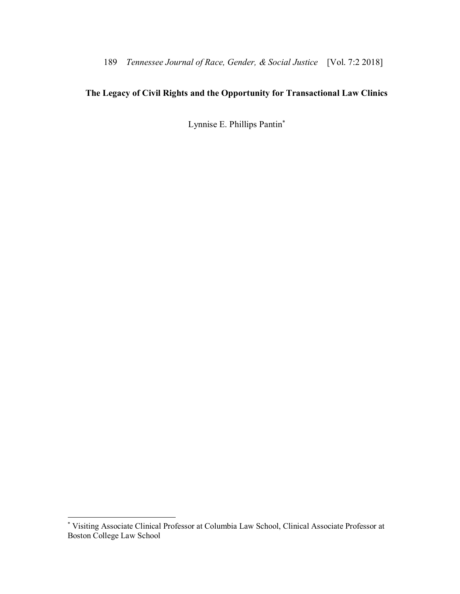# **The Legacy of Civil Rights and the Opportunity for Transactional Law Clinics**

Lynnise E. Phillips Pantin\*

<sup>\*</sup> Visiting Associate Clinical Professor at Columbia Law School, Clinical Associate Professor at Boston College Law School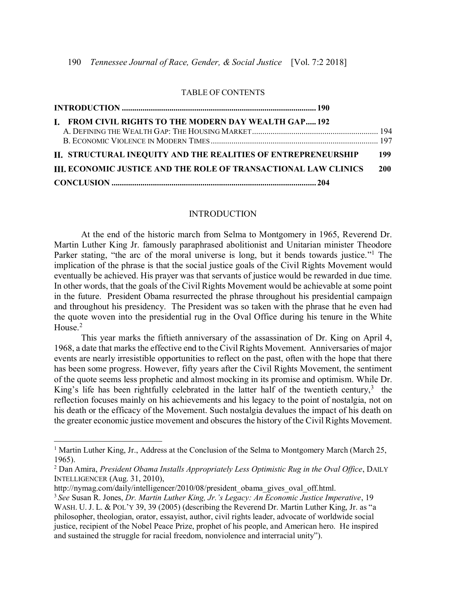#### TABLE OF CONTENTS

|  | I. FROM CIVIL RIGHTS TO THE MODERN DAY WEALTH GAP 192                  |            |
|--|------------------------------------------------------------------------|------------|
|  |                                                                        |            |
|  |                                                                        |            |
|  | II. STRUCTURAL INEQUITY AND THE REALITIES OF ENTREPRENEURSHIP          | 199        |
|  | <b>III. ECONOMIC JUSTICE AND THE ROLE OF TRANSACTIONAL LAW CLINICS</b> | <b>200</b> |
|  |                                                                        |            |

#### INTRODUCTION

At the end of the historic march from Selma to Montgomery in 1965, Reverend Dr. Martin Luther King Jr. famously paraphrased abolitionist and Unitarian minister Theodore Parker stating, "the arc of the moral universe is long, but it bends towards justice."<sup>1</sup> The implication of the phrase is that the social justice goals of the Civil Rights Movement would eventually be achieved. His prayer was that servants of justice would be rewarded in due time. In other words, that the goals of the Civil Rights Movement would be achievable at some point in the future. President Obama resurrected the phrase throughout his presidential campaign and throughout his presidency. The President was so taken with the phrase that he even had the quote woven into the presidential rug in the Oval Office during his tenure in the White House.<sup>2</sup>

This year marks the fiftieth anniversary of the assassination of Dr. King on April 4, 1968, a date that marks the effective end to the Civil Rights Movement. Anniversaries of major events are nearly irresistible opportunities to reflect on the past, often with the hope that there has been some progress. However, fifty years after the Civil Rights Movement, the sentiment of the quote seems less prophetic and almost mocking in its promise and optimism. While Dr. King's life has been rightfully celebrated in the latter half of the twentieth century, $3$  the reflection focuses mainly on his achievements and his legacy to the point of nostalgia, not on his death or the efficacy of the Movement. Such nostalgia devalues the impact of his death on the greater economic justice movement and obscures the history of the Civil Rights Movement.

<sup>&</sup>lt;sup>1</sup> Martin Luther King, Jr., Address at the Conclusion of the Selma to Montgomery March (March 25, 1965).

<sup>2</sup> Dan Amira, *President Obama Installs Appropriately Less Optimistic Rug in the Oval Office*, DAILY INTELLIGENCER (Aug. 31, 2010),

[http://nymag.com/daily/intelligencer/2010/08/president\\_obama\\_gives\\_oval\\_off.html.](http://nymag.com/daily/intelligencer/2010/08/president_obama_gives_oval_off.html)

<sup>3</sup>*See* Susan R. Jones, *Dr. Martin Luther King, Jr.'s Legacy: An Economic Justice Imperative*, 19 WASH. U. J. L. & POL'Y 39, 39 (2005) (describing the Reverend Dr. Martin Luther King, Jr. as "a philosopher, theologian, orator, essayist, author, civil rights leader, advocate of worldwide social justice, recipient of the Nobel Peace Prize, prophet of his people, and American hero. He inspired and sustained the struggle for racial freedom, nonviolence and interracial unity").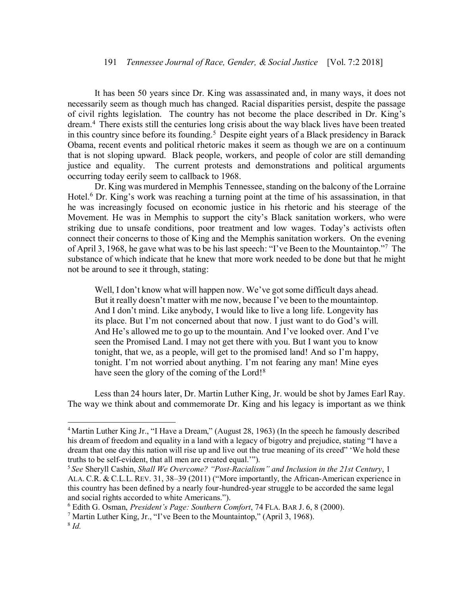### 191 *Tennessee Journal of Race, Gender, & Social Justice* [Vol. 7:2 2018]

It has been 50 years since Dr. King was assassinated and, in many ways, it does not necessarily seem as though much has changed. Racial disparities persist, despite the passage of civil rights legislation. The country has not become the place described in Dr. King's dream.<sup>4</sup> There exists still the centuries long crisis about the way black lives have been treated in this country since before its founding.<sup>5</sup> Despite eight years of a Black presidency in Barack Obama, recent events and political rhetoric makes it seem as though we are on a continuum that is not sloping upward. Black people, workers, and people of color are still demanding justice and equality. The current protests and demonstrations and political arguments occurring today eerily seem to callback to 1968.

Dr. King was murdered in Memphis Tennessee, standing on the balcony of the Lorraine Hotel. <sup>6</sup> Dr. King's work was reaching a turning point at the time of his assassination, in that he was increasingly focused on economic justice in his rhetoric and his steerage of the Movement. He was in Memphis to support the city's Black sanitation workers, who were striking due to unsafe conditions, poor treatment and low wages. Today's activists often connect their concerns to those of King and the Memphis sanitation workers. On the evening of April 3, 1968, he gave what was to be his last speech: "I've Been to the Mountaintop."<sup>7</sup> The substance of which indicate that he knew that more work needed to be done but that he might not be around to see it through, stating:

Well, I don't know what will happen now. We've got some difficult days ahead. But it really doesn't matter with me now, because I've been to the mountaintop. And I don't mind. Like anybody, I would like to live a long life. Longevity has its place. But I'm not concerned about that now. I just want to do God's will. And He's allowed me to go up to the mountain. And I've looked over. And I've seen the Promised Land. I may not get there with you. But I want you to know tonight, that we, as a people, will get to the promised land! And so I'm happy, tonight. I'm not worried about anything. I'm not fearing any man! Mine eyes have seen the glory of the coming of the Lord!<sup>8</sup>

Less than 24 hours later, Dr. Martin Luther King, Jr. would be shot by James Earl Ray. The way we think about and commemorate Dr. King and his legacy is important as we think

<sup>&</sup>lt;sup>4</sup> Martin Luther King Jr., "I Have a Dream," (August 28, 1963) (In the speech he famously described his dream of freedom and equality in a land with a legacy of bigotry and prejudice, stating "I have a dream that one day this nation will rise up and live out the true meaning of its creed" 'We hold these truths to be self-evident, that all men are created equal.'").

<sup>5</sup> *See* Sheryll Cashin, *Shall We Overcome? "Post-Racialism" and Inclusion in the 21st Century*, 1 ALA. C.R. & C.L.L. REV. 31, 38–39 (2011) ("More importantly, the African-American experience in this country has been defined by a nearly four-hundred-year struggle to be accorded the same legal and social rights accorded to white Americans.").

<sup>6</sup> Edith G. Osman, *President's Page: Southern Comfort*, 74 FLA. BAR J. 6, 8 (2000).

<sup>&</sup>lt;sup>7</sup> Martin Luther King, Jr., "I've Been to the Mountaintop," (April 3, 1968).

<sup>8</sup> *Id.*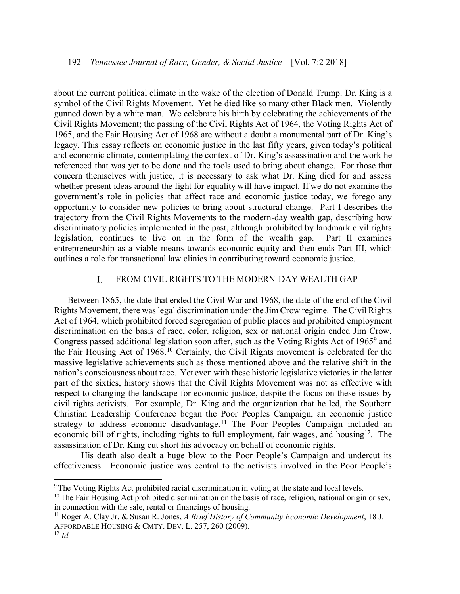about the current political climate in the wake of the election of Donald Trump. Dr. King is a symbol of the Civil Rights Movement. Yet he died like so many other Black men. Violently gunned down by a white man. We celebrate his birth by celebrating the achievements of the Civil Rights Movement; the passing of the Civil Rights Act of 1964, the Voting Rights Act of 1965, and the Fair Housing Act of 1968 are without a doubt a monumental part of Dr. King's legacy. This essay reflects on economic justice in the last fifty years, given today's political and economic climate, contemplating the context of Dr. King's assassination and the work he referenced that was yet to be done and the tools used to bring about change. For those that concern themselves with justice, it is necessary to ask what Dr. King died for and assess whether present ideas around the fight for equality will have impact. If we do not examine the government's role in policies that affect race and economic justice today, we forego any opportunity to consider new policies to bring about structural change. Part I describes the trajectory from the Civil Rights Movements to the modern-day wealth gap, describing how discriminatory policies implemented in the past, although prohibited by landmark civil rights legislation, continues to live on in the form of the wealth gap. Part II examines entrepreneurship as a viable means towards economic equity and then ends Part III, which outlines a role for transactional law clinics in contributing toward economic justice.

#### I. FROM CIVIL RIGHTS TO THE MODERN-DAY WEALTH GAP

Between 1865, the date that ended the Civil War and 1968, the date of the end of the Civil Rights Movement, there was legal discrimination under the Jim Crow regime. The Civil Rights Act of 1964, which prohibited forced segregation of public places and prohibited employment discrimination on the basis of race, color, religion, sex or national origin ended Jim Crow. Congress passed additional legislation soon after, such as the Voting Rights Act of 19659 and the Fair Housing Act of 1968.10 Certainly, the Civil Rights movement is celebrated for the massive legislative achievements such as those mentioned above and the relative shift in the nation's consciousness about race. Yet even with these historic legislative victories in the latter part of the sixties, history shows that the Civil Rights Movement was not as effective with respect to changing the landscape for economic justice, despite the focus on these issues by civil rights activists. For example, Dr. King and the organization that he led, the Southern Christian Leadership Conference began the Poor Peoples Campaign, an economic justice strategy to address economic disadvantage.<sup>11</sup> The Poor Peoples Campaign included an economic bill of rights, including rights to full employment, fair wages, and housing<sup>12</sup>. The assassination of Dr. King cut short his advocacy on behalf of economic rights.

His death also dealt a huge blow to the Poor People's Campaign and undercut its effectiveness. Economic justice was central to the activists involved in the Poor People's

<sup>&</sup>lt;sup>9</sup> The Voting Rights Act prohibited racial discrimination in voting at the state and local levels.

<sup>&</sup>lt;sup>10</sup> The Fair Housing Act prohibited discrimination on the basis of race, religion, national origin or sex, in connection with the sale, rental or financings of housing.

<sup>11</sup> Roger A. Clay Jr. & Susan R. Jones, *A Brief History of Community Economic Development*, 18 J. AFFORDABLE HOUSING & CMTY. DEV. L. 257, 260 (2009).

 $12$  *Id.*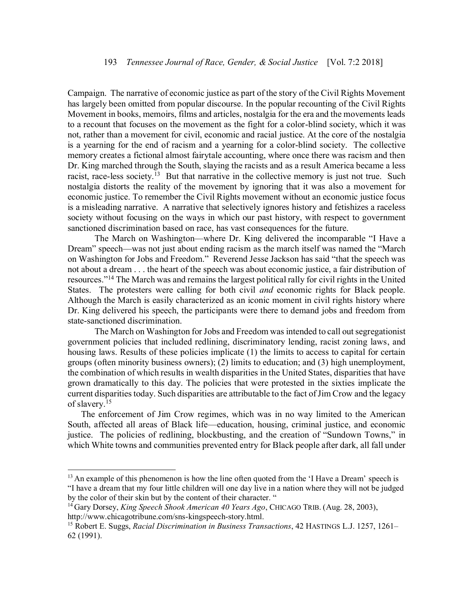Campaign. The narrative of economic justice as part of the story of the Civil Rights Movement has largely been omitted from popular discourse. In the popular recounting of the Civil Rights Movement in books, memoirs, films and articles, nostalgia for the era and the movements leads to a recount that focuses on the movement as the fight for a color-blind society, which it was not, rather than a movement for civil, economic and racial justice. At the core of the nostalgia is a yearning for the end of racism and a yearning for a color-blind society. The collective memory creates a fictional almost fairytale accounting, where once there was racism and then Dr. King marched through the South, slaying the racists and as a result America became a less racist, race-less society.<sup>13</sup> But that narrative in the collective memory is just not true. Such nostalgia distorts the reality of the movement by ignoring that it was also a movement for economic justice. To remember the Civil Rights movement without an economic justice focus is a misleading narrative. A narrative that selectively ignores history and fetishizes a raceless society without focusing on the ways in which our past history, with respect to government sanctioned discrimination based on race, has vast consequences for the future.

The March on Washington—where Dr. King delivered the incomparable "I Have a Dream" speech—was not just about ending racism as the march itself was named the "March on Washington for Jobs and Freedom." Reverend Jesse Jackson has said "that the speech was not about a dream . . . the heart of the speech was about economic justice, a fair distribution of resources."<sup>14</sup> The March was and remains the largest political rally for civil rights in the United States. The protesters were calling for both civil *and* economic rights for Black people. Although the March is easily characterized as an iconic moment in civil rights history where Dr. King delivered his speech, the participants were there to demand jobs and freedom from state-sanctioned discrimination.

The March on Washington for Jobs and Freedom was intended to call out segregationist government policies that included redlining, discriminatory lending, racist zoning laws, and housing laws. Results of these policies implicate (1) the limits to access to capital for certain groups (often minority business owners); (2) limits to education; and (3) high unemployment, the combination of which results in wealth disparities in the United States, disparities that have grown dramatically to this day. The policies that were protested in the sixties implicate the current disparities today. Such disparities are attributable to the fact of Jim Crow and the legacy of slavery. 15

The enforcement of Jim Crow regimes, which was in no way limited to the American South, affected all areas of Black life—education, housing, criminal justice, and economic justice. The policies of redlining, blockbusting, and the creation of "Sundown Towns," in which White towns and communities prevented entry for Black people after dark, all fall under

<sup>&</sup>lt;sup>13</sup> An example of this phenomenon is how the line often quoted from the 'I Have a Dream' speech is "I have a dream that my four little children will one day live in a nation where they will not be judged by the color of their skin but by the content of their character. "

<sup>14</sup> Gary Dorsey, *King Speech Shook American 40 Years Ago*, CHICAGO TRIB. (Aug. 28, 2003), [http://www.chicagotribune.com/sns-kingspeech-story.html.](http://www.chicagotribune.com/sns-kingspeech-story.html)

<sup>15</sup> Robert E. Suggs, *Racial Discrimination in Business Transactions*, 42 HASTINGS L.J. 1257, 1261– 62 (1991).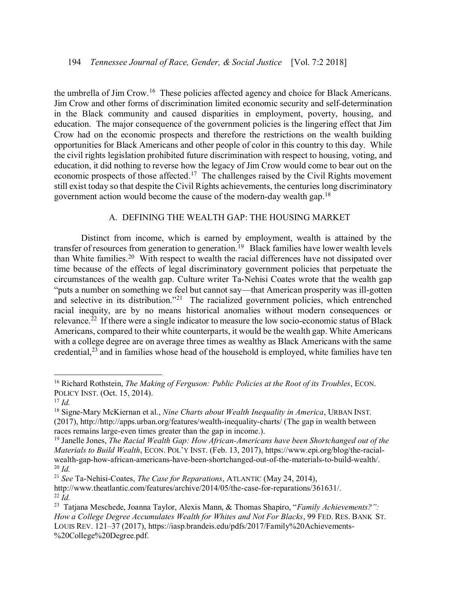the umbrella of Jim Crow.<sup>16</sup> These policies affected agency and choice for Black Americans. Jim Crow and other forms of discrimination limited economic security and self-determination in the Black community and caused disparities in employment, poverty, housing, and education. The major consequence of the government policies is the lingering effect that Jim Crow had on the economic prospects and therefore the restrictions on the wealth building opportunities for Black Americans and other people of color in this country to this day. While the civil rights legislation prohibited future discrimination with respect to housing, voting, and education, it did nothing to reverse how the legacy of Jim Crow would come to bear out on the economic prospects of those affected.<sup>17</sup> The challenges raised by the Civil Rights movement still exist today so that despite the Civil Rights achievements, the centuries long discriminatory government action would become the cause of the modern-day wealth gap.<sup>18</sup>

### A. DEFINING THE WEALTH GAP: THE HOUSING MARKET

<span id="page-6-0"></span>Distinct from income, which is earned by employment, wealth is attained by the transfer of resources from generation to generation.<sup>19</sup> Black families have lower wealth levels than White families.<sup>20</sup> With respect to wealth the racial differences have not dissipated over time because of the effects of legal discriminatory government policies that perpetuate the circumstances of the wealth gap. Culture writer Ta-Nehisi Coates wrote that the wealth gap "puts a number on something we feel but cannot say—that American prosperity was ill-gotten and selective in its distribution."<sup>21</sup> The racialized government policies, which entrenched racial inequity, are by no means historical anomalies without modern consequences or relevance.<sup>22</sup> If there were a single indicator to measure the low socio-economic status of Black Americans, compared to their white counterparts, it would be the wealth gap. White Americans with a college degree are on average three times as wealthy as Black Americans with the same credential,<sup>23</sup> and in families whose head of the household is employed, white families have ten

<sup>16</sup> Richard Rothstein, *The Making of Ferguson: Public Policies at the Root of its Troubles*, ECON. POLICY INST. (Oct. 15, 2014).

 $17$  *Id.* 

<sup>18</sup> Signe-Mary McKiernan et al., *Nine Charts about Wealth Inequality in America*, URBAN INST. (2017), [http://http://apps.urban.org/features/wealth-inequality-charts/](http://http/apps.urban.org/features/wealth-inequality-charts/) (The gap in wealth between races remains large-even times greater than the gap in income.).

<sup>19</sup> Janelle Jones, *The Racial Wealth Gap: How African-Americans have been Shortchanged out of the Materials to Build Wealth*, ECON. POL'Y INST. (Feb. 13, 2017), [https://www.epi.org/blog/the-racial](https://www.epi.org/blog/the-racial-wealth-gap-how-african-americans-have-been-shortchanged-out-of-the-materials-to-build-wealth/)[wealth-gap-how-african-americans-have-been-shortchanged-out-of-the-materials-to-build-wealth/.](https://www.epi.org/blog/the-racial-wealth-gap-how-african-americans-have-been-shortchanged-out-of-the-materials-to-build-wealth/)  $^{20}$  *Id.* 

<sup>21</sup> *See* Ta-Nehisi-Coates, *The Case for Reparations*, ATLANTIC (May 24, 2014),

[http://www.theatlantic.com/features/archive/2014/05/the-case-for-reparations/361631/.](http://www.theatlantic.com/features/archive/2014/05/the-case-for-reparations/361631/) <sup>22</sup> *Id.* 

<sup>23</sup> Tatjana Meschede, Joanna Taylor, Alexis Mann, & Thomas Shapiro, "*Family Achievements?": How a College Degree Accumulates Wealth for Whites and Not For Blacks*, 99 FED. RES. BANK ST. LOUIS REV. 121–37 (2017), [https://iasp.brandeis.edu/pdfs/2017/Family%20Achievements-](https://iasp.brandeis.edu/pdfs/2017/Family%20Achievements-%20College%20Degree.pdf) [%20College%20Degree.pdf.](https://iasp.brandeis.edu/pdfs/2017/Family%20Achievements-%20College%20Degree.pdf)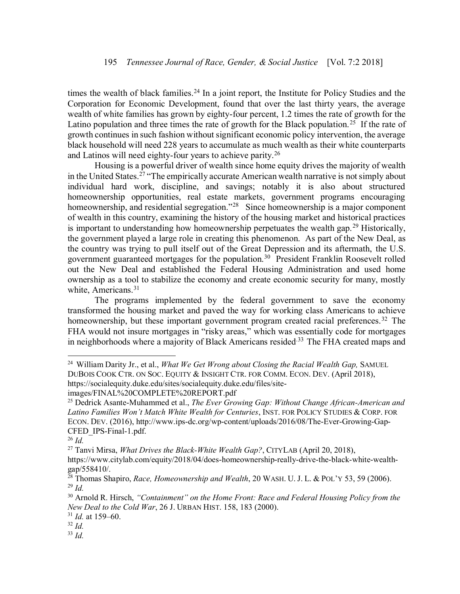times the wealth of black families.<sup>24</sup> In a joint report, the Institute for Policy Studies and the Corporation for Economic Development, found that over the last thirty years, the average wealth of white families has grown by eighty-four percent, 1.2 times the rate of growth for the Latino population and three times the rate of growth for the Black population.<sup>25</sup> If the rate of growth continues in such fashion without significant economic policy intervention, the average black household will need 228 years to accumulate as much wealth as their white counterparts and Latinos will need eighty-four years to achieve parity.<sup>26</sup>

Housing is a powerful driver of wealth since home equity drives the majority of wealth in the United States.<sup>27</sup> "The empirically accurate American wealth narrative is not simply about individual hard work, discipline, and savings; notably it is also about structured homeownership opportunities, real estate markets, government programs encouraging homeownership, and residential segregation."<sup>28</sup> Since homeownership is a major component of wealth in this country, examining the history of the housing market and historical practices is important to understanding how homeownership perpetuates the wealth gap.<sup>29</sup> Historically, the government played a large role in creating this phenomenon. As part of the New Deal, as the country was trying to pull itself out of the Great Depression and its aftermath, the U.S. government guaranteed mortgages for the population.<sup>30</sup> President Franklin Roosevelt rolled out the New Deal and established the Federal Housing Administration and used home ownership as a tool to stabilize the economy and create economic security for many, mostly white, Americans.<sup>31</sup>

The programs implemented by the federal government to save the economy transformed the housing market and paved the way for working class Americans to achieve homeownership, but these important government program created racial preferences.<sup>32</sup> The FHA would not insure mortgages in "risky areas," which was essentially code for mortgages in neighborhoods where a majority of Black Americans resided<sup>33</sup> The FHA created maps and

 $\overline{a}$ 

<sup>27</sup> Tanvi Mirsa, *What Drives the Black-White Wealth Gap?*, CITYLAB (April 20, 2018),

<sup>24</sup> William Darity Jr., et al., *What We Get Wrong about Closing the Racial Wealth Gap,* SAMUEL DUBOIS COOK CTR. ON SOC. EQUITY & INSIGHT CTR. FOR COMM. ECON. DEV. (April 2018), https://socialequity.duke.edu/sites/socialequity.duke.edu/files/siteimages/FINAL%20COMPLETE%20REPORT.pdf

<sup>25</sup> Dedrick Asante-Muhammed et al., *The Ever Growing Gap: Without Change African-American and Latino Families Won't Match White Wealth for Centuries*, INST. FOR POLICY STUDIES & CORP. FOR ECON. DEV. (2016), http://www.ips-dc.org/wp-content/uploads/2016/08/The-Ever-Growing-Gap-CFED\_IPS-Final-1.pdf.

<sup>26</sup> *Id.*

[https://www.citylab.com/equity/2018/04/does-homeownership-really-drive-the-black-white-wealth](https://www.citylab.com/equity/2018/04/does-homeownership-really-drive-the-black-white-wealth-gap/558410/)[gap/558410/.](https://www.citylab.com/equity/2018/04/does-homeownership-really-drive-the-black-white-wealth-gap/558410/)

<sup>28</sup> Thomas Shapiro, *Race, Homeownership and Wealth*, 20 WASH. U. J. L. & POL'Y 53, 59 (2006).  $^{29}$  *Id.* 

<sup>30</sup> Arnold R. Hirsch, *"Containment" on the Home Front: Race and Federal Housing Policy from the New Deal to the Cold War*, 26 J. URBAN HIST. 158, 183 (2000).

<sup>31</sup> *Id.* at 159–60.

 $32$  *Id.* 

<sup>33</sup> *Id.*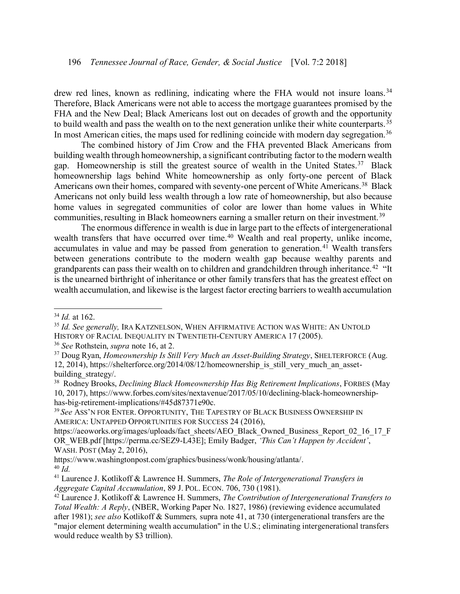drew red lines, known as redlining, indicating where the FHA would not insure loans.<sup>34</sup> Therefore, Black Americans were not able to access the mortgage guarantees promised by the FHA and the New Deal; Black Americans lost out on decades of growth and the opportunity to build wealth and pass the wealth on to the next generation unlike their white counterparts.<sup>35</sup> In most American cities, the maps used for redlining coincide with modern day segregation.<sup>36</sup>

The combined history of Jim Crow and the FHA prevented Black Americans from building wealth through homeownership, a significant contributing factor to the modern wealth gap. Homeownership is still the greatest source of wealth in the United States.<sup>37</sup> Black homeownership lags behind White homeownership as only forty-one percent of Black Americans own their homes, compared with seventy-one percent of White Americans.<sup>38</sup> Black Americans not only build less wealth through a low rate of homeownership, but also because home values in segregated communities of color are lower than home values in White communities, resulting in Black homeowners earning a smaller return on their investment.<sup>39</sup>

The enormous difference in wealth is due in large part to the effects of intergenerational wealth transfers that have occurred over time.<sup>40</sup> Wealth and real property, unlike income, accumulates in value and may be passed from generation to generation.<sup>41</sup> Wealth transfers between generations contribute to the modern wealth gap because wealthy parents and grandparents can pass their wealth on to children and grandchildren through inheritance.<sup>42</sup> "It is the unearned birthright of inheritance or other family transfers that has the greatest effect on wealth accumulation, and likewise is the largest factor erecting barriers to wealth accumulation

 $\overline{a}$ 

<sup>36</sup> *See* Rothstein, *supra* note 16, at 2.

<sup>34</sup> *Id.* at 162.

<sup>35</sup> *Id. See generally,* IRA KATZNELSON, WHEN AFFIRMATIVE ACTION WAS WHITE: AN UNTOLD HISTORY OF RACIAL INEQUALITY IN TWENTIETH-CENTURY AMERICA 17 (2005).

<sup>37</sup> Doug Ryan, *Homeownership Is Still Very Much an Asset-Building Strategy*, SHELTERFORCE (Aug. 12, 2014), https://shelterforce.org/2014/08/12/homeownership\_is\_still\_very\_much\_an\_assetbuilding strategy.

<sup>&</sup>lt;sup>38</sup> Rodney Brooks, *Declining Black Homeownership Has Big Retirement Implications*, FORBES (May 10, 2017), https://www.forbes.com/sites/nextavenue/2017/05/10/declining-black-homeownershiphas-big-retirement-implications/#45d87371e90c.

<sup>39</sup> *See* ASS'N FOR ENTER. OPPORTUNITY, THE TAPESTRY OF BLACK BUSINESS OWNERSHIP IN AMERICA: UNTAPPED OPPORTUNITIES FOR SUCCESS 24 (2016),

https://aeoworks.org/images/uploads/fact\_sheets/AEO\_Black\_Owned\_Business\_Report\_02\_16\_17\_F OR\_WEB.pdf [https://perma.cc/SEZ9-L43E]; Emily Badger, *'This Can't Happen by Accident'*, WASH. POST (May 2, 2016)[,](https://www.washingtonpost.com/graphics/business/wonk/housing/atlanta/)

[https://www.washingtonpost.com/graphics/business/wonk/housing/atlanta/.](https://www.washingtonpost.com/graphics/business/wonk/housing/atlanta/) <sup>40</sup> *Id.*

<sup>41</sup> Laurence J. Kotlikoff & Lawrence H. Summers, *The Role of Intergenerational Transfers in Aggregate Capital Accumulation*, 89 J. POL. ECON. 706, 730 (1981).

<sup>42</sup> Laurence J. Kotlikoff & Lawrence H. Summers, *The Contribution of Intergenerational Transfers to Total Wealth: A Reply*, (NBER, Working Paper No. 1827, 1986) (reviewing evidence accumulated after 1981); *see also* Kotlikoff & Summers*,* supra note 41, at 730 (intergenerational transfers are the "major element determining wealth accumulation" in the U.S.; eliminating intergenerational transfers would reduce wealth by \$3 trillion).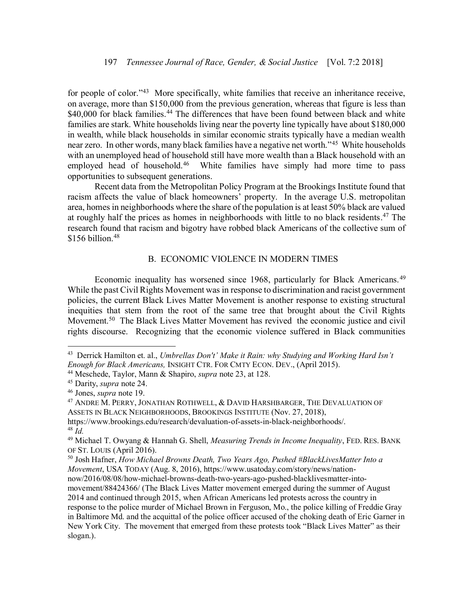for people of color."<sup>43</sup> More specifically, white families that receive an inheritance receive, on average, more than \$150,000 from the previous generation, whereas that figure is less than \$40,000 for black families.<sup>44</sup> The differences that have been found between black and white families are stark. White households living near the poverty line typically have about \$180,000 in wealth, while black households in similar economic straits typically have a median wealth near zero. In other words, many black families have a negative net worth."<sup>45</sup> White households with an unemployed head of household still have more wealth than a Black household with an employed head of household.<sup>46</sup> White families have simply had more time to pass opportunities to subsequent generations.

Recent data from the Metropolitan Policy Program at the Brookings Institute found that racism affects the value of black homeowners' property. In the average U.S. metropolitan area, homes in neighborhoods where the share of the population is at least 50% black are valued at roughly half the prices as homes in neighborhoods with little to no black residents. <sup>47</sup> The research found that racism and bigotry have robbed black Americans of the collective sum of \$156 billion.<sup>48</sup>

#### B. ECONOMIC VIOLENCE IN MODERN TIMES

<span id="page-9-0"></span>Economic inequality has worsened since 1968, particularly for Black Americans.<sup>49</sup> While the past Civil Rights Movement was in response to discrimination and racist government policies, the current Black Lives Matter Movement is another response to existing structural inequities that stem from the root of the same tree that brought about the Civil Rights Movement.<sup>50</sup> The Black Lives Matter Movement has revived the economic justice and civil rights discourse. Recognizing that the economic violence suffered in Black communities

<sup>43</sup> Derrick Hamilton et. al., *Umbrellas Don't' Make it Rain: why Studying and Working Hard Isn't Enough for Black Americans,* INSIGHT CTR. FOR CMTY ECON. DEV., (April 2015).

<sup>44</sup> Meschede, Taylor, Mann & Shapiro, *supra* note 23, at 128.

<sup>45</sup> Darity, *supra* note 24.

<sup>46</sup> Jones, *supra* note 19.

 $^{47}$  ANDRE M. PERRY, JONATHAN ROTHWELL,  $\&$  DAVID HARSHBARGER, THE DEVALUATION OF ASSETS IN BLACK NEIGHBORHOODS, BROOKINGS INSTITUTE (Nov. 27, 2018),

https://www.brookings.edu/research/devaluation-of-assets-in-black-neighborhoods/. <sup>48</sup> *Id.*

<sup>49</sup> Michael T. Owyang & Hannah G. Shell, *Measuring Trends in Income Inequality*, FED. RES. BANK OF ST. LOUIS (April 2016).

<sup>50</sup> Josh Hafner, *How Michael Browns Death, Two Years Ago, Pushed #BlackLivesMatter Into a Movement*, USA TODAY (Aug. 8, 2016), [https://www.usatoday.com/story/news/nation](https://www.usatoday.com/story/news/nation-now/2016/08/08/how-michael-browns-death-two-years-ago-pushed-blacklivesmatter-into-movement/88424366/)[now/2016/08/08/how-michael-browns-death-two-years-ago-pushed-blacklivesmatter-into](https://www.usatoday.com/story/news/nation-now/2016/08/08/how-michael-browns-death-two-years-ago-pushed-blacklivesmatter-into-movement/88424366/)[movement/88424366/](https://www.usatoday.com/story/news/nation-now/2016/08/08/how-michael-browns-death-two-years-ago-pushed-blacklivesmatter-into-movement/88424366/) (The Black Lives Matter movement emerged during the summer of August 2014 and continued through 2015, when African Americans led protests across the country in response to the police murder of Michael Brown in Ferguson, Mo., the police killing of Freddie Gray in Baltimore Md. and the acquittal of the police officer accused of the choking death of Eric Garner in New York City. The movement that emerged from these protests took "Black Lives Matter" as their slogan.).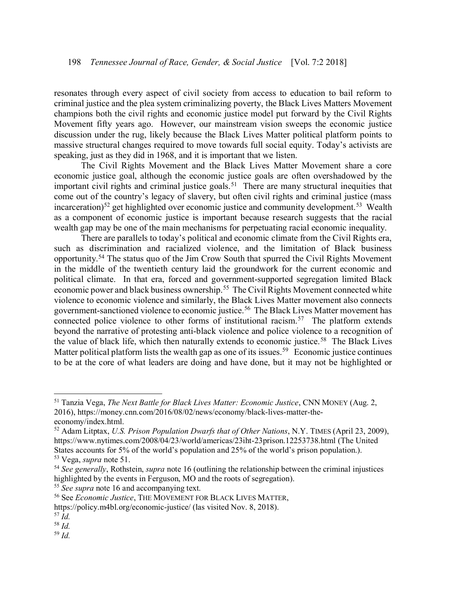resonates through every aspect of civil society from access to education to bail reform to criminal justice and the plea system criminalizing poverty, the Black Lives Matters Movement champions both the civil rights and economic justice model put forward by the Civil Rights Movement fifty years ago. However, our mainstream vision sweeps the economic justice discussion under the rug, likely because the Black Lives Matter political platform points to massive structural changes required to move towards full social equity. Today's activists are speaking, just as they did in 1968, and it is important that we listen.

The Civil Rights Movement and the Black Lives Matter Movement share a core economic justice goal, although the economic justice goals are often overshadowed by the important civil rights and criminal justice goals.<sup>51</sup> There are many structural inequities that come out of the country's legacy of slavery, but often civil rights and criminal justice (mass incarceration)<sup>52</sup> get highlighted over economic justice and community development.<sup>53</sup> Wealth as a component of economic justice is important because research suggests that the racial wealth gap may be one of the main mechanisms for perpetuating racial economic inequality.

There are parallels to today's political and economic climate from the Civil Rights era, such as discrimination and racialized violence, and the limitation of Black business opportunity.<sup>54</sup> The status quo of the Jim Crow South that spurred the Civil Rights Movement in the middle of the twentieth century laid the groundwork for the current economic and political climate. In that era, forced and government-supported segregation limited Black economic power and black business ownership.<sup>55</sup> The Civil Rights Movement connected white violence to economic violence and similarly, the Black Lives Matter movement also connects government-sanctioned violence to economic justice.<sup>56</sup> The Black Lives Matter movement has connected police violence to other forms of institutional racism.<sup>57</sup> The platform extends beyond the narrative of protesting anti-black violence and police violence to a recognition of the value of black life, which then naturally extends to economic justice.<sup>58</sup> The Black Lives Matter political platform lists the wealth gap as one of its issues.<sup>59</sup> Economic justice continues to be at the core of what leaders are doing and have done, but it may not be highlighted or

<sup>55</sup> *See supra* note 16 and accompanying text.

<sup>51</sup> Tanzia Vega, *The Next Battle for Black Lives Matter: Economic Justice*, CNN MONEY (Aug. 2, 2016), [https://money.cnn.com/2016/08/02/news/economy/black-lives-matter-the](https://money.cnn.com/2016/08/02/news/economy/black-lives-matter-the-economy/index.html)[economy/index.html.](https://money.cnn.com/2016/08/02/news/economy/black-lives-matter-the-economy/index.html)

<sup>52</sup> Adam Litptax, *U.S. Prison Population Dwarfs that of Other Nations*, N.Y. TIMES (April 23, 2009), <https://www.nytimes.com/2008/04/23/world/americas/23iht-23prison.12253738.html> (The United States accounts for 5% of the world's population and 25% of the world's prison population.). <sup>53</sup> Vega, *supra* note 51.

<sup>54</sup> *See generally*, Rothstein, *supra* note 16 (outlining the relationship between the criminal injustices highlighted by the events in Ferguson, MO and the roots of segregation).

<sup>56</sup> See *Economic Justice*, THE MOVEMENT FOR BLACK LIVES MATTER,

https://policy.m4bl.org/economic-justice/ (las visited Nov. 8, 2018).

<sup>57</sup> *Id.*

<sup>58</sup> *Id.*

<sup>59</sup> *Id.*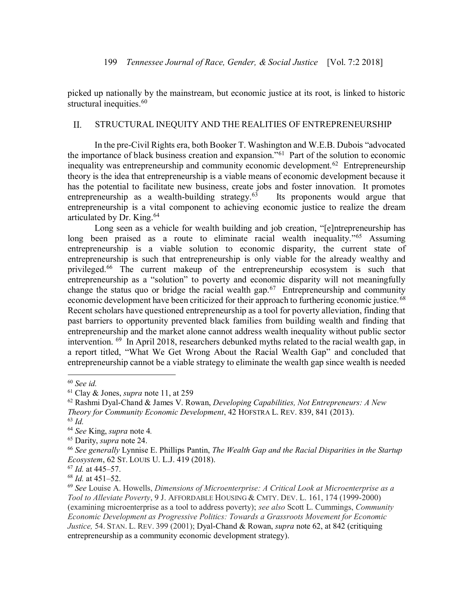picked up nationally by the mainstream, but economic justice at its root, is linked to historic structural inequities.<sup>60</sup>

#### STRUCTURAL INEQUITY AND THE REALITIES OF ENTREPRENEURSHIP II.

In the pre-Civil Rights era, both Booker T. Washington and W.E.B. Dubois "advocated the importance of black business creation and expansion."61 Part of the solution to economic inequality was entrepreneurship and community economic development.<sup>62</sup> Entrepreneurship theory is the idea that entrepreneurship is a viable means of economic development because it has the potential to facilitate new business, create jobs and foster innovation. It promotes entrepreneurship as a wealth-building strategy. $63$  Its proponents would argue that entrepreneurship is a vital component to achieving economic justice to realize the dream articulated by Dr. King.64

Long seen as a vehicle for wealth building and job creation, "[e]ntrepreneurship has long been praised as a route to eliminate racial wealth inequality."<sup>65</sup> Assuming entrepreneurship is a viable solution to economic disparity, the current state of entrepreneurship is such that entrepreneurship is only viable for the already wealthy and privileged.<sup>66</sup> The current makeup of the entrepreneurship ecosystem is such that entrepreneurship as a "solution" to poverty and economic disparity will not meaningfully change the status quo or bridge the racial wealth gap.<sup>67</sup> Entrepreneurship and community economic development have been criticized for their approach to furthering economic justice.<sup>68</sup> Recent scholars have questioned entrepreneurship as a tool for poverty alleviation, finding that past barriers to opportunity prevented black families from building wealth and finding that entrepreneurship and the market alone cannot address wealth inequality without public sector intervention. 69 In April 2018, researchers debunked myths related to the racial wealth gap, in a report titled, "What We Get Wrong About the Racial Wealth Gap" and concluded that entrepreneurship cannot be a viable strategy to eliminate the wealth gap since wealth is needed

<sup>60</sup> *See id.* 61 Clay & Jones, *supra* note 11, at 259

<sup>62</sup> Rashmi Dyal-Chand & James V. Rowan, *Developing Capabilities, Not Entrepreneurs: A New Theory for Community Economic Development*, 42 HOFSTRA L. REV. 839, 841 (2013).

<sup>63</sup> *Id.* 

<sup>64</sup> *See* King, *supra* note 4*.* 

<sup>65</sup> Darity, *supra* note 24.

<sup>66</sup> *See generally* Lynnise E. Phillips Pantin, *The Wealth Gap and the Racial Disparities in the Startup Ecosystem*, 62 ST. LOUIS U. L.J. 419 (2018).

<sup>67</sup> *Id.* at 445–57.

<sup>68</sup> *Id.* at 451–52.

<sup>69</sup> *See* Louise A. Howells, *Dimensions of Microenterprise: A Critical Look at Microenterprise as a Tool to Alleviate Poverty*, 9 J. AFFORDABLE HOUSING & CMTY. DEV. L. 161, 174 (1999-2000) (examining microenterprise as a tool to address poverty); *see also* Scott L. Cummings, *Community Economic Development as Progressive Politics: Towards a Grassroots Movement for Economic Justice,* 54. STAN. L. REV. 399 (2001); Dyal-Chand & Rowan, *supra* note 62, at 842 (critiquing entrepreneurship as a community economic development strategy).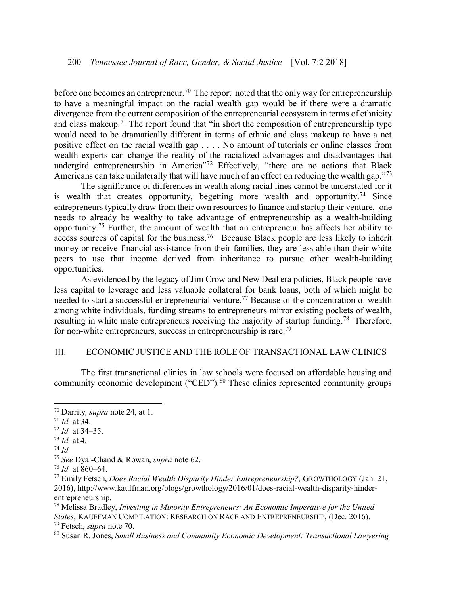before one becomes an entrepreneur.<sup>70</sup> The report noted that the only way for entrepreneurship to have a meaningful impact on the racial wealth gap would be if there were a dramatic divergence from the current composition of the entrepreneurial ecosystem in terms of ethnicity and class makeup.<sup>71</sup> The report found that "in short the composition of entrepreneurship type would need to be dramatically different in terms of ethnic and class makeup to have a net positive effect on the racial wealth gap . . . . No amount of tutorials or online classes from wealth experts can change the reality of the racialized advantages and disadvantages that undergird entrepreneurship in America"<sup>72</sup> Effectively, "there are no actions that Black Americans can take unilaterally that will have much of an effect on reducing the wealth gap."<sup>73</sup>

The significance of differences in wealth along racial lines cannot be understated for it is wealth that creates opportunity, begetting more wealth and opportunity.<sup>74</sup> Since entrepreneurs typically draw from their own resources to finance and startup their venture, one needs to already be wealthy to take advantage of entrepreneurship as a wealth-building opportunity.75 Further, the amount of wealth that an entrepreneur has affects her ability to access sources of capital for the business.<sup>76</sup> Because Black people are less likely to inherit money or receive financial assistance from their families, they are less able than their white peers to use that income derived from inheritance to pursue other wealth-building opportunities.

As evidenced by the legacy of Jim Crow and New Deal era policies, Black people have less capital to leverage and less valuable collateral for bank loans, both of which might be needed to start a successful entrepreneurial venture.<sup>77</sup> Because of the concentration of wealth among white individuals, funding streams to entrepreneurs mirror existing pockets of wealth, resulting in white male entrepreneurs receiving the majority of startup funding.<sup>78</sup> Therefore, for non-white entrepreneurs, success in entrepreneurship is rare.79

#### $III.$ ECONOMIC JUSTICE AND THE ROLE OF TRANSACTIONAL LAW CLINICS

The first transactional clinics in law schools were focused on affordable housing and community economic development ("CED").<sup>80</sup> These clinics represented community groups

<sup>70</sup> Darrity*, supra* note 24, at 1.

<sup>71</sup> *Id.* at 34.

<sup>72</sup> *Id.* at 34–35.

 $\frac{73}{14}$  *Id.* at 4.  $\frac{74}{14}$ 

<sup>75</sup> *See* Dyal-Chand & Rowan, *supra* note 62.

<sup>76</sup> *Id.* at 860–64.

<sup>77</sup> Emily Fetsch, *Does Racial Wealth Disparity Hinder Entrepreneurship?,* GROWTHOLOGY (Jan. 21, 2016), http://www.kauffman.org/blogs/growthology/2016/01/does-racial-wealth-disparity-hinderentrepreneurship.

<sup>78</sup> Melissa Bradley, *Investing in Minority Entrepreneurs: An Economic Imperative for the United States*, KAUFFMAN COMPILATION: RESEARCH ON RACE AND ENTREPRENEURSHIP, (Dec. 2016). <sup>79</sup> Fetsch, *supra* note 70.

<sup>80</sup> Susan R. Jones, *Small Business and Community Economic Development: Transactional Lawyering*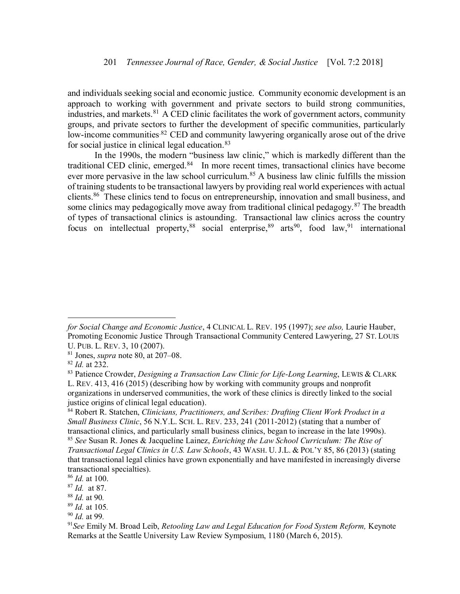and individuals seeking social and economic justice. Community economic development is an approach to working with government and private sectors to build strong communities, industries, and markets. $81$  A CED clinic facilitates the work of government actors, community groups, and private sectors to further the development of specific communities, particularly low-income communities.<sup>82</sup> CED and community lawyering organically arose out of the drive for social justice in clinical legal education.<sup>83</sup>

In the 1990s, the modern "business law clinic," which is markedly different than the traditional CED clinic, emerged.<sup>84</sup> In more recent times, transactional clinics have become ever more pervasive in the law school curriculum.<sup>85</sup> A business law clinic fulfills the mission of training students to be transactional lawyers by providing real world experiences with actual clients.<sup>86</sup> These clinics tend to focus on entrepreneurship, innovation and small business, and some clinics may pedagogically move away from traditional clinical pedagogy.<sup>87</sup> The breadth of types of transactional clinics is astounding. Transactional law clinics across the country focus on intellectual property,  $88$  social enterprise,  $89$  arts  $90$ , food law,  $91$  international

*for Social Change and Economic Justice*, 4 CLINICAL L. REV. 195 (1997); *see also,* Laurie Hauber, Promoting Economic Justice Through Transactional Community Centered Lawyering, 27 ST. LOUIS U. PUB. L. REV. 3, 10 (2007).

<sup>81</sup> Jones, *supra* note 80, at 207–08.

<sup>82</sup> *Id.* at 232.

<sup>83</sup> Patience Crowder, *Designing a Transaction Law Clinic for Life-Long Learning*, LEWIS & CLARK L. REV. 413, 416 (2015) (describing how by working with community groups and nonprofit organizations in underserved communities, the work of these clinics is directly linked to the social justice origins of clinical legal education).

<sup>84</sup> Robert R. Statchen, *Clinicians, Practitioners, and Scribes: Drafting Client Work Product in a Small Business Clinic*, 56 N.Y.L. SCH. L. REV. 233, 241 (2011-2012) (stating that a number of transactional clinics, and particularly small business clinics, began to increase in the late 1990s). <sup>85</sup> *See* Susan R. Jones & Jacqueline Lainez, *Enriching the Law School Curriculum: The Rise of* 

*Transactional Legal Clinics in U.S. Law Schools*, 43 WASH. U. J.L. & POL'Y 85, 86 (2013) (stating that transactional legal clinics have grown exponentially and have manifested in increasingly diverse transactional specialties).

<sup>86</sup> *Id.* at 100.

<sup>87</sup> *Id.* at 87.

<sup>88</sup> *Id.* at 90*.* 

<sup>89</sup> *Id.* at 105*.*

<sup>90</sup> *Id.* at 99*.*

<sup>91</sup>*See* Emily M. Broad Leib, *Retooling Law and Legal Education for Food System Reform,* Keynote Remarks at the Seattle University Law Review Symposium, 1180 (March 6, 2015).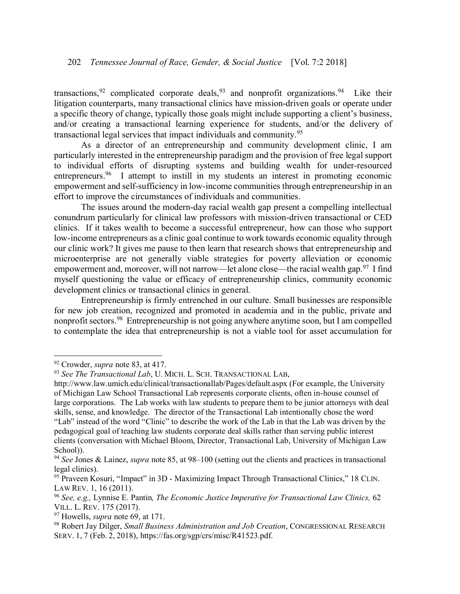transactions,  $92$  complicated corporate deals,  $93$  and nonprofit organizations.  $94$  Like their litigation counterparts, many transactional clinics have mission-driven goals or operate under a specific theory of change, typically those goals might include supporting a client's business, and/or creating a transactional learning experience for students, and/or the delivery of transactional legal services that impact individuals and community.<sup>95</sup>

As a director of an entrepreneurship and community development clinic, I am particularly interested in the entrepreneurship paradigm and the provision of free legal support to individual efforts of disrupting systems and building wealth for under-resourced entrepreneurs.<sup>96</sup> I attempt to instill in my students an interest in promoting economic empowerment and self-sufficiency in low-income communities through entrepreneurship in an effort to improve the circumstances of individuals and communities.

The issues around the modern-day racial wealth gap present a compelling intellectual conundrum particularly for clinical law professors with mission-driven transactional or CED clinics. If it takes wealth to become a successful entrepreneur, how can those who support low-income entrepreneurs as a clinic goal continue to work towards economic equality through our clinic work? It gives me pause to then learn that research shows that entrepreneurship and microenterprise are not generally viable strategies for poverty alleviation or economic empowerment and, moreover, will not narrow—let alone close—the racial wealth gap.<sup>97</sup> I find myself questioning the value or efficacy of entrepreneurship clinics, community economic development clinics or transactional clinics in general.

Entrepreneurship is firmly entrenched in our culture. Small businesses are responsible for new job creation, recognized and promoted in academia and in the public, private and nonprofit sectors.<sup>98</sup> Entrepreneurship is not going anywhere anytime soon, but I am compelled to contemplate the idea that entrepreneurship is not a viable tool for asset accumulation for

<sup>92</sup> Crowder, *supra* note 83, at 417.

<sup>93</sup> *See The Transactional Lab*, U. MICH. L. SCH. TRANSACTIONAL LAB,

http://www.law.umich.edu/clinical/transactionallab/Pages/default.aspx (For example, the University of Michigan Law School Transactional Lab represents corporate clients, often in-house counsel of large corporations. The Lab works with law students to prepare them to be junior attorneys with deal skills, sense, and knowledge. The director of the Transactional Lab intentionally chose the word "Lab" instead of the word "Clinic" to describe the work of the Lab in that the Lab was driven by the pedagogical goal of teaching law students corporate deal skills rather than serving public interest clients (conversation with Michael Bloom, Director, Transactional Lab, University of Michigan Law School)).

<sup>94</sup> *See* Jones & Lainez, *supra* note 85, at 98–100 (setting out the clients and practices in transactional legal clinics).

<sup>95</sup> Praveen Kosuri, "Impact" in 3D - Maximizing Impact Through Transactional Clinics," 18 CLIN. LAW REV. 1, 16 (2011).

<sup>96</sup> *See, e.g.,* Lynnise E. Pantin*, The Economic Justice Imperative for Transactional Law Clinics,* 62 VILL. L. REV. 175 (2017).

<sup>97</sup> Howells, *supra* note 69, at 171.

<sup>98</sup> Robert Jay Dilger, *Small Business Administration and Job Creation*, CONGRESSIONAL RESEARCH SERV. 1, 7 (Feb. 2, 2018), https://fas.org/sgp/crs/misc/R41523.pdf.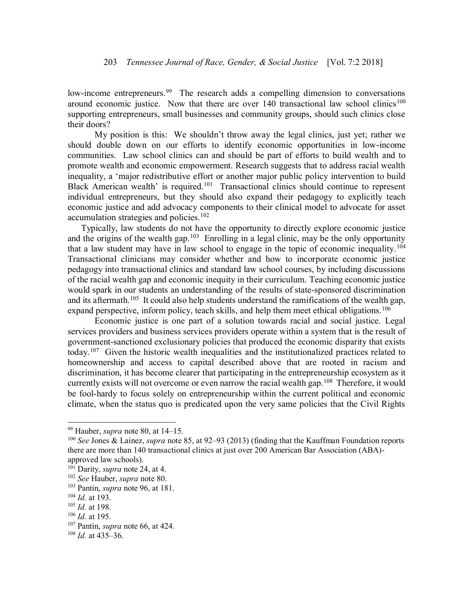low-income entrepreneurs.<sup>99</sup> The research adds a compelling dimension to conversations around economic justice. Now that there are over  $140$  transactional law school clinics<sup>100</sup> supporting entrepreneurs, small businesses and community groups, should such clinics close their doors?

My position is this: We shouldn't throw away the legal clinics, just yet; rather we should double down on our efforts to identify economic opportunities in low-income communities. Law school clinics can and should be part of efforts to build wealth and to promote wealth and economic empowerment. Research suggests that to address racial wealth inequality, a 'major redistributive effort or another major public policy intervention to build Black American wealth' is required.<sup>101</sup> Transactional clinics should continue to represent individual entrepreneurs, but they should also expand their pedagogy to explicitly teach economic justice and add advocacy components to their clinical model to advocate for asset accumulation strategies and policies.<sup>102</sup>

Typically, law students do not have the opportunity to directly explore economic justice and the origins of the wealth gap.<sup>103</sup> Enrolling in a legal clinic, may be the only opportunity that a law student may have in law school to engage in the topic of economic inequality.<sup>104</sup> Transactional clinicians may consider whether and how to incorporate economic justice pedagogy into transactional clinics and standard law school courses, by including discussions of the racial wealth gap and economic inequity in their curriculum. Teaching economic justice would spark in our students an understanding of the results of state-sponsored discrimination and its aftermath.<sup>105</sup> It could also help students understand the ramifications of the wealth gap, expand perspective, inform policy, teach skills, and help them meet ethical obligations.<sup>106</sup>

Economic justice is one part of a solution towards racial and social justice. Legal services providers and business services providers operate within a system that is the result of government-sanctioned exclusionary policies that produced the economic disparity that exists today.<sup>107</sup> Given the historic wealth inequalities and the institutionalized practices related to homeownership and access to capital described above that are rooted in racism and discrimination, it has become clearer that participating in the entrepreneurship ecosystem as it currently exists will not overcome or even narrow the racial wealth gap.<sup>108</sup> Therefore, it would be fool-hardy to focus solely on entrepreneurship within the current political and economic climate, when the status quo is predicated upon the very same policies that the Civil Rights

<sup>99</sup> Hauber, *supra* note 80, at 14–15.

<sup>100</sup> *See* Jones & Lainez, *supra* note 85, at 92–93 (2013) (finding that the Kauffman Foundation reports there are more than 140 transactional clinics at just over 200 American Bar Association (ABA) approved law schools).

<sup>101</sup> Darity, *supra* note 24, at 4.

<sup>102</sup> *See* Hauber, *supra* note 80.

<sup>103</sup> Pantin, *supra* note 96, at 181.

<sup>104</sup> *Id.* at 193.

<sup>105</sup> *Id.* at 198.

<sup>106</sup> *Id.* at 195.

<sup>107</sup> Pantin, *supra* note 66, at 424.

<sup>108</sup> *Id.* at 435–36.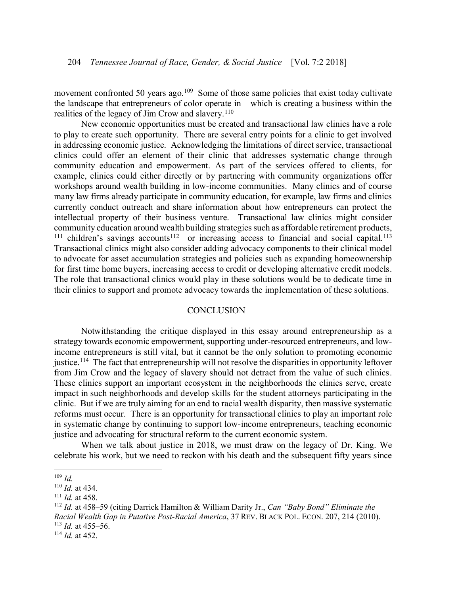movement confronted 50 years ago.<sup>109</sup> Some of those same policies that exist today cultivate the landscape that entrepreneurs of color operate in—which is creating a business within the realities of the legacy of Jim Crow and slavery.<sup>110</sup>

New economic opportunities must be created and transactional law clinics have a role to play to create such opportunity. There are several entry points for a clinic to get involved in addressing economic justice. Acknowledging the limitations of direct service, transactional clinics could offer an element of their clinic that addresses systematic change through community education and empowerment. As part of the services offered to clients, for example, clinics could either directly or by partnering with community organizations offer workshops around wealth building in low-income communities. Many clinics and of course many law firms already participate in community education, for example, law firms and clinics currently conduct outreach and share information about how entrepreneurs can protect the intellectual property of their business venture. Transactional law clinics might consider community education around wealth building strategies such as affordable retirement products,  $111$  children's savings accounts<sup>112</sup> or increasing access to financial and social capital.<sup>113</sup> Transactional clinics might also consider adding advocacy components to their clinical model to advocate for asset accumulation strategies and policies such as expanding homeownership for first time home buyers, increasing access to credit or developing alternative credit models. The role that transactional clinics would play in these solutions would be to dedicate time in their clinics to support and promote advocacy towards the implementation of these solutions.

#### **CONCLUSION**

<span id="page-16-0"></span>Notwithstanding the critique displayed in this essay around entrepreneurship as a strategy towards economic empowerment, supporting under-resourced entrepreneurs, and lowincome entrepreneurs is still vital, but it cannot be the only solution to promoting economic justice.<sup>114</sup> The fact that entrepreneurship will not resolve the disparities in opportunity leftover from Jim Crow and the legacy of slavery should not detract from the value of such clinics. These clinics support an important ecosystem in the neighborhoods the clinics serve, create impact in such neighborhoods and develop skills for the student attorneys participating in the clinic. But if we are truly aiming for an end to racial wealth disparity, then massive systematic reforms must occur. There is an opportunity for transactional clinics to play an important role in systematic change by continuing to support low-income entrepreneurs, teaching economic justice and advocating for structural reform to the current economic system.

When we talk about justice in 2018, we must draw on the legacy of Dr. King. We celebrate his work, but we need to reckon with his death and the subsequent fifty years since

<sup>109</sup> *Id.* 

<sup>110</sup> *Id.* at 434.

<sup>111</sup> *Id.* at 458.

<sup>112</sup> *Id.* at 458–59 (citing Darrick Hamilton & William Darity Jr., *Can "Baby Bond" Eliminate the Racial Wealth Gap in Putative Post-Racial America*, 37 REV. BLACK POL. ECON. 207, 214 (2010). <sup>113</sup> *Id.* at 455–56.

<sup>114</sup> *Id.* at 452.